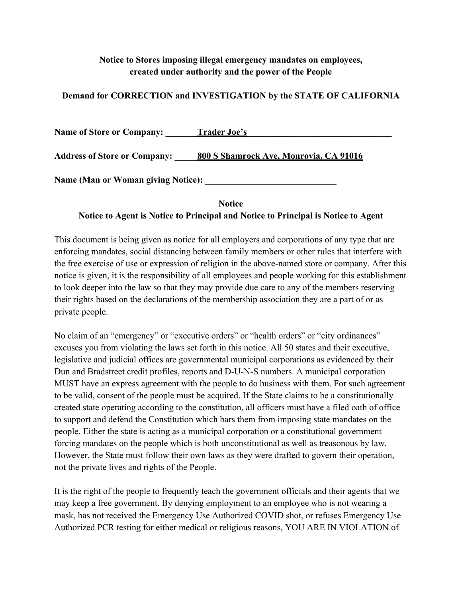#### **Notice to Stores imposing illegal emergency mandates on employees, created under authority and the power of the People**

#### **Demand for CORRECTION and INVESTIGATION by the STATE OF CALIFORNIA**

| <b>Name of Store or Company:</b>          | <b>Trader Joe's</b>                    |
|-------------------------------------------|----------------------------------------|
| <b>Address of Store or Company:</b>       | 800 S Shamrock Ave, Monrovia, CA 91016 |
| <b>Name (Man or Woman giving Notice):</b> |                                        |

# **Notice Notice to Agent is Notice to Principal and Notice to Principal is Notice to Agent**

This document is being given as notice for all employers and corporations of any type that are enforcing mandates, social distancing between family members or other rules that interfere with the free exercise of use or expression of religion in the above-named store or company. After this notice is given, it is the responsibility of all employees and people working for this establishment to look deeper into the law so that they may provide due care to any of the members reserving their rights based on the declarations of the membership association they are a part of or as private people.

No claim of an "emergency" or "executive orders" or "health orders" or "city ordinances" excuses you from violating the laws set forth in this notice. All 50 states and their executive, legislative and judicial offices are governmental municipal corporations as evidenced by their Dun and Bradstreet credit profiles, reports and D-U-N-S numbers. A municipal corporation MUST have an express agreement with the people to do business with them. For such agreement to be valid, consent of the people must be acquired. If the State claims to be a constitutionally created state operating according to the constitution, all officers must have a filed oath of office to support and defend the Constitution which bars them from imposing state mandates on the people. Either the state is acting as a municipal corporation or a constitutional government forcing mandates on the people which is both unconstitutional as well as treasonous by law. However, the State must follow their own laws as they were drafted to govern their operation, not the private lives and rights of the People.

It is the right of the people to frequently teach the government officials and their agents that we may keep a free government. By denying employment to an employee who is not wearing a mask, has not received the Emergency Use Authorized COVID shot, or refuses Emergency Use Authorized PCR testing for either medical or religious reasons, YOU ARE IN VIOLATION of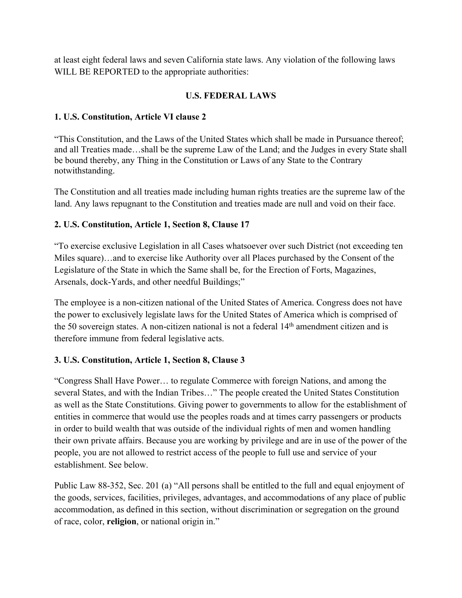at least eight federal laws and seven California state laws. Any violation of the following laws WILL BE REPORTED to the appropriate authorities:

## **U.S. FEDERAL LAWS**

#### **1. U.S. Constitution, Article VI clause 2**

"This Constitution, and the Laws of the United States which shall be made in Pursuance thereof; and all Treaties made…shall be the supreme Law of the Land; and the Judges in every State shall be bound thereby, any Thing in the Constitution or Laws of any State to the Contrary notwithstanding.

The Constitution and all treaties made including human rights treaties are the supreme law of the land. Any laws repugnant to the Constitution and treaties made are null and void on their face.

#### **2. U.S. Constitution, Article 1, Section 8, Clause 17**

"To exercise exclusive Legislation in all Cases whatsoever over such District (not exceeding ten Miles square)…and to exercise like Authority over all Places purchased by the Consent of the Legislature of the State in which the Same shall be, for the Erection of Forts, Magazines, Arsenals, dock-Yards, and other needful Buildings;"

The employee is a non-citizen national of the United States of America. Congress does not have the power to exclusively legislate laws for the United States of America which is comprised of the 50 sovereign states. A non-citizen national is not a federal 14<sup>th</sup> amendment citizen and is therefore immune from federal legislative acts.

#### **3. U.S. Constitution, Article 1, Section 8, Clause 3**

"Congress Shall Have Power… to regulate Commerce with foreign Nations, and among the several States, and with the Indian Tribes…" The people created the United States Constitution as well as the State Constitutions. Giving power to governments to allow for the establishment of entities in commerce that would use the peoples roads and at times carry passengers or products in order to build wealth that was outside of the individual rights of men and women handling their own private affairs. Because you are working by privilege and are in use of the power of the people, you are not allowed to restrict access of the people to full use and service of your establishment. See below.

Public Law 88-352, Sec. 201 (a) "All persons shall be entitled to the full and equal enjoyment of the goods, services, facilities, privileges, advantages, and accommodations of any place of public accommodation, as defined in this section, without discrimination or segregation on the ground of race, color, **religion**, or national origin in."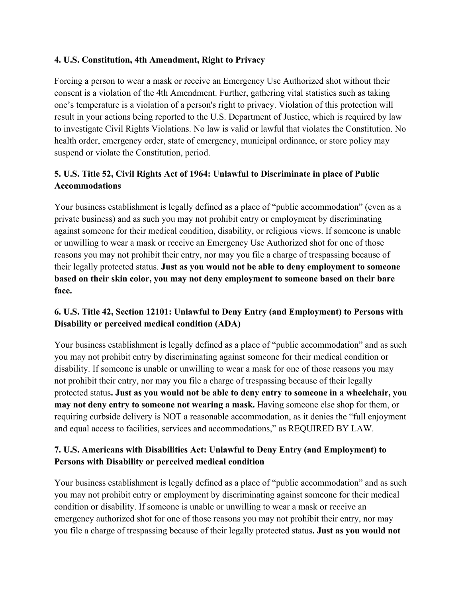#### **4. U.S. Constitution, 4th Amendment, Right to Privacy**

Forcing a person to wear a mask or receive an Emergency Use Authorized shot without their consent is a violation of the 4th Amendment. Further, gathering vital statistics such as taking one's temperature is a violation of a person's right to privacy. Violation of this protection will result in your actions being reported to the U.S. Department of Justice, which is required by law to investigate Civil Rights Violations. No law is valid or lawful that violates the Constitution. No health order, emergency order, state of emergency, municipal ordinance, or store policy may suspend or violate the Constitution, period.

## **5. U.S. Title 52, Civil Rights Act of 1964: Unlawful to Discriminate in place of Public Accommodations**

Your business establishment is legally defined as a place of "public accommodation" (even as a private business) and as such you may not prohibit entry or employment by discriminating against someone for their medical condition, disability, or religious views. If someone is unable or unwilling to wear a mask or receive an Emergency Use Authorized shot for one of those reasons you may not prohibit their entry, nor may you file a charge of trespassing because of their legally protected status. **Just as you would not be able to deny employment to someone based on their skin color, you may not deny employment to someone based on their bare face.**

## **6. U.S. Title 42, Section 12101: Unlawful to Deny Entry (and Employment) to Persons with Disability or perceived medical condition (ADA)**

Your business establishment is legally defined as a place of "public accommodation" and as such you may not prohibit entry by discriminating against someone for their medical condition or disability. If someone is unable or unwilling to wear a mask for one of those reasons you may not prohibit their entry, nor may you file a charge of trespassing because of their legally protected status**. Just as you would not be able to deny entry to someone in a wheelchair, you may not deny entry to someone not wearing a mask.** Having someone else shop for them, or requiring curbside delivery is NOT a reasonable accommodation, as it denies the "full enjoyment and equal access to facilities, services and accommodations," as REQUIRED BY LAW.

## **7. U.S. Americans with Disabilities Act: Unlawful to Deny Entry (and Employment) to Persons with Disability or perceived medical condition**

Your business establishment is legally defined as a place of "public accommodation" and as such you may not prohibit entry or employment by discriminating against someone for their medical condition or disability. If someone is unable or unwilling to wear a mask or receive an emergency authorized shot for one of those reasons you may not prohibit their entry, nor may you file a charge of trespassing because of their legally protected status**. Just as you would not**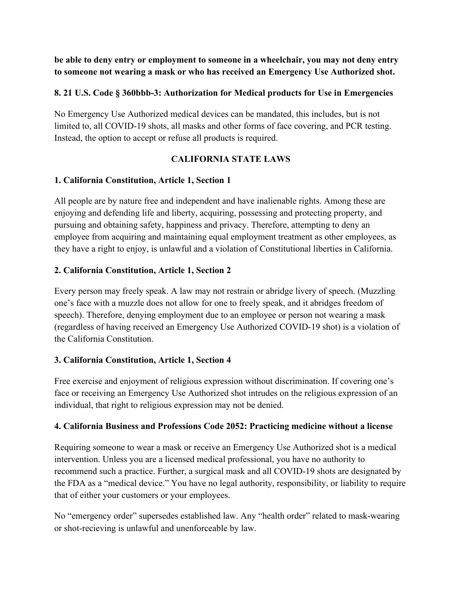**be able to deny entry or employment to someone in a wheelchair, you may not deny entry to someone not wearing a mask or who has received an Emergency Use Authorized shot.** 

#### **8. 21 U.S. Code § 360bbb-3: Authorization for Medical products for Use in Emergencies**

No Emergency Use Authorized medical devices can be mandated, this includes, but is not limited to, all COVID-19 shots, all masks and other forms of face covering, and PCR testing. Instead, the option to accept or refuse all products is required.

## **CALIFORNIA STATE LAWS**

#### **1. California Constitution, Article 1, Section 1**

All people are by nature free and independent and have inalienable rights. Among these are enjoying and defending life and liberty, acquiring, possessing and protecting property, and pursuing and obtaining safety, happiness and privacy. Therefore, attempting to deny an employee from acquiring and maintaining equal employment treatment as other employees, as they have a right to enjoy, is unlawful and a violation of Constitutional liberties in California.

#### **2. California Constitution, Article 1, Section 2**

Every person may freely speak. A law may not restrain or abridge livery of speech. (Muzzling one's face with a muzzle does not allow for one to freely speak, and it abridges freedom of speech). Therefore, denying employment due to an employee or person not wearing a mask (regardless of having received an Emergency Use Authorized COVID-19 shot) is a violation of the California Constitution.

#### **3. California Constitution, Article 1, Section 4**

Free exercise and enjoyment of religious expression without discrimination. If covering one's face or receiving an Emergency Use Authorized shot intrudes on the religious expression of an individual, that right to religious expression may not be denied.

#### **4. California Business and Professions Code 2052: Practicing medicine without a license**

Requiring someone to wear a mask or receive an Emergency Use Authorized shot is a medical intervention. Unless you are a licensed medical professional, you have no authority to recommend such a practice. Further, a surgical mask and all COVID-19 shots are designated by the FDA as a "medical device." You have no legal authority, responsibility, or liability to require that of either your customers or your employees.

No "emergency order" supersedes established law. Any "health order" related to mask-wearing or shot-recieving is unlawful and unenforceable by law.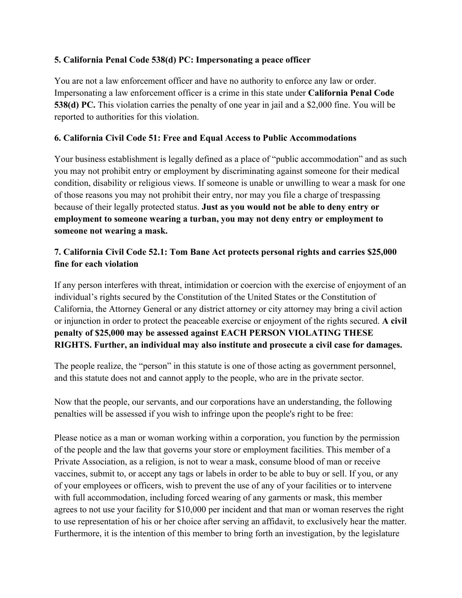#### **5. California Penal Code 538(d) PC: Impersonating a peace officer**

You are not a law enforcement officer and have no authority to enforce any law or order. Impersonating a law enforcement officer is a crime in this state under **California Penal Code 538(d) PC.** This violation carries the penalty of one year in jail and a \$2,000 fine. You will be reported to authorities for this violation.

#### **6. California Civil Code 51: Free and Equal Access to Public Accommodations**

Your business establishment is legally defined as a place of "public accommodation" and as such you may not prohibit entry or employment by discriminating against someone for their medical condition, disability or religious views. If someone is unable or unwilling to wear a mask for one of those reasons you may not prohibit their entry, nor may you file a charge of trespassing because of their legally protected status. **Just as you would not be able to deny entry or employment to someone wearing a turban, you may not deny entry or employment to someone not wearing a mask.** 

## **7. California Civil Code 52.1: Tom Bane Act protects personal rights and carries \$25,000 fine for each violation**

If any person interferes with threat, intimidation or coercion with the exercise of enjoyment of an individual's rights secured by the Constitution of the United States or the Constitution of California, the Attorney General or any district attorney or city attorney may bring a civil action or injunction in order to protect the peaceable exercise or enjoyment of the rights secured. **A civil penalty of \$25,000 may be assessed against EACH PERSON VIOLATING THESE RIGHTS. Further, an individual may also institute and prosecute a civil case for damages.**

The people realize, the "person" in this statute is one of those acting as government personnel, and this statute does not and cannot apply to the people, who are in the private sector.

Now that the people, our servants, and our corporations have an understanding, the following penalties will be assessed if you wish to infringe upon the people's right to be free:

Please notice as a man or woman working within a corporation, you function by the permission of the people and the law that governs your store or employment facilities. This member of a Private Association, as a religion, is not to wear a mask, consume blood of man or receive vaccines, submit to, or accept any tags or labels in order to be able to buy or sell. If you, or any of your employees or officers, wish to prevent the use of any of your facilities or to intervene with full accommodation, including forced wearing of any garments or mask, this member agrees to not use your facility for \$10,000 per incident and that man or woman reserves the right to use representation of his or her choice after serving an affidavit, to exclusively hear the matter. Furthermore, it is the intention of this member to bring forth an investigation, by the legislature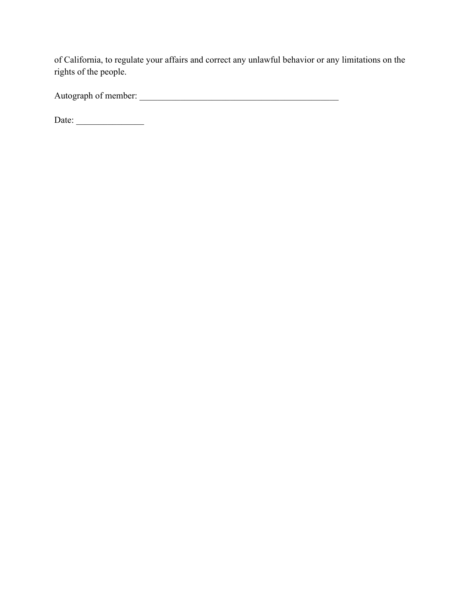of California, to regulate your affairs and correct any unlawful behavior or any limitations on the rights of the people.

Autograph of member: \_\_\_\_\_\_\_\_\_\_\_\_\_\_\_\_\_\_\_\_\_\_\_\_\_\_\_\_\_\_\_\_\_\_\_\_\_\_\_\_\_\_\_\_

Date: \_\_\_\_\_\_\_\_\_\_\_\_\_\_\_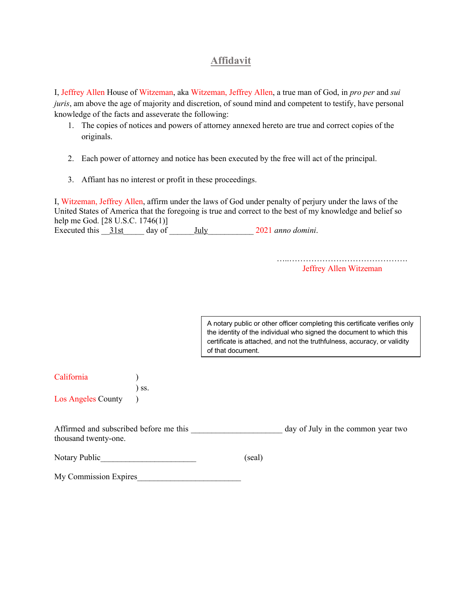# **Affidavit**

I, Jeffrey Allen House of Witzeman, aka Witzeman, Jeffrey Allen, a true man of God, in *pro per* and *sui juris*, am above the age of majority and discretion, of sound mind and competent to testify, have personal knowledge of the facts and asseverate the following:

- 1. The copies of notices and powers of attorney annexed hereto are true and correct copies of the originals.
- 2. Each power of attorney and notice has been executed by the free will act of the principal.
- 3. Affiant has no interest or profit in these proceedings.

I, Witzeman, Jeffrey Allen, affirm under the laws of God under penalty of perjury under the laws of the United States of America that the foregoing is true and correct to the best of my knowledge and belief so help me God. [28 U.S.C. 1746(1)] Executed this  $\frac{31st}{ }$  day of  $\frac{July}{ }$  2021 *anno domini*.

…..…………………………………….

Jeffrey Allen Witzeman

A notary public or other officer completing this certificate verifies only the identity of the individual who signed the document to which this certificate is attached, and not the truthfulness, accuracy, or validity of that document.

| California         |                              |
|--------------------|------------------------------|
|                    | $\overline{\phantom{a}}$ SS. |
| Los Angeles County |                              |

Affirmed and subscribed before me this  $\qquad \qquad \text{day of July in the common year two}$ thousand twenty-one.

| Notary Public | (seal) |
|---------------|--------|
|               |        |

My Commission Expires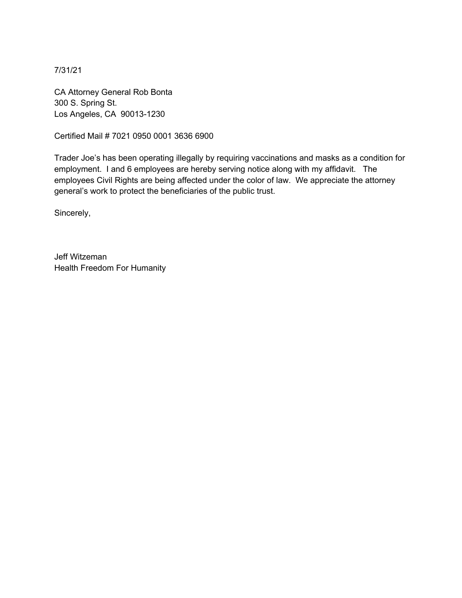7/31/21

CA Attorney General Rob Bonta 300 S. Spring St. Los Angeles, CA 90013-1230

Certified Mail # 7021 0950 0001 3636 6900

Trader Joe's has been operating illegally by requiring vaccinations and masks as a condition for employment. I and 6 employees are hereby serving notice along with my affidavit. The employees Civil Rights are being affected under the color of law. We appreciate the attorney general's work to protect the beneficiaries of the public trust.

Sincerely,

Jeff Witzeman Health Freedom For Humanity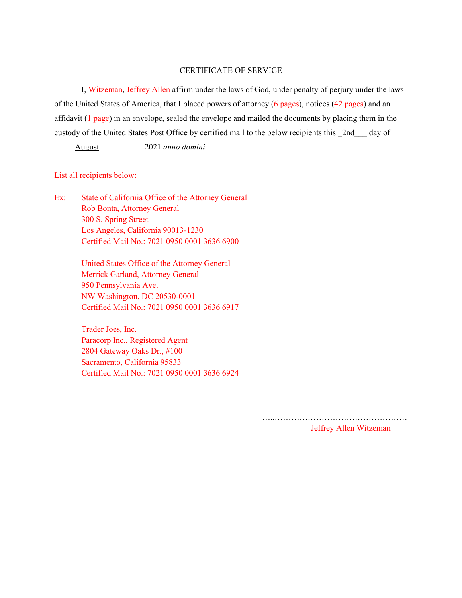#### CERTIFICATE OF SERVICE

I, Witzeman, Jeffrey Allen affirm under the laws of God, under penalty of perjury under the laws of the United States of America, that I placed powers of attorney (6 pages), notices (42 pages) and an affidavit (1 page) in an envelope, sealed the envelope and mailed the documents by placing them in the custody of the United States Post Office by certified mail to the below recipients this  $2nd$  day of

\_\_\_\_\_August\_\_\_\_\_\_\_\_\_\_ 2021 *anno domini*.

#### List all recipients below:

Ex: State of California Office of the Attorney General Rob Bonta, Attorney General 300 S. Spring Street Los Angeles, California 90013-1230 Certified Mail No.: 7021 0950 0001 3636 6900

> United States Office of the Attorney General Merrick Garland, Attorney General 950 Pennsylvania Ave. NW Washington, DC 20530-0001 Certified Mail No.: 7021 0950 0001 3636 6917

> Trader Joes, Inc. Paracorp Inc., Registered Agent 2804 Gateway Oaks Dr., #100 Sacramento, California 95833 Certified Mail No.: 7021 0950 0001 3636 6924

> > …………………………………………………

Jeffrey Allen Witzeman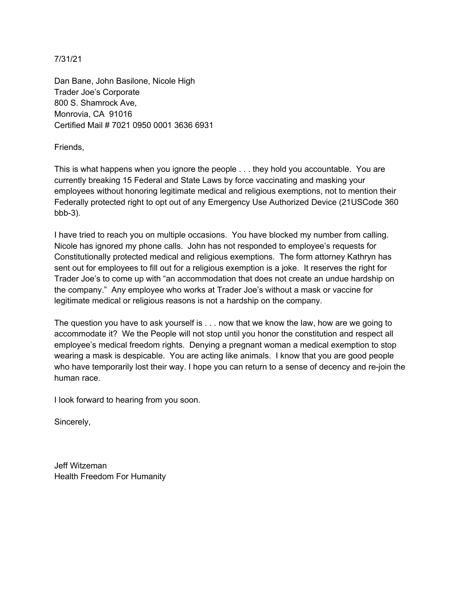7/31/21

Dan Bane, John Basilone, Nicole High Trader Joe's Corporate 800 S. Shamrock Ave, Monrovia, CA 91016 Certified Mail # 7021 0950 0001 3636 6931

#### Friends,

This is what happens when you ignore the people . . . they hold you accountable. You are currently breaking 15 Federal and State Laws by force vaccinating and masking your employees without honoring legitimate medical and religious exemptions, not to mention their Federally protected right to opt out of any Emergency Use Authorized Device (21USCode 360  $bbb-3)$ .

I have tried to reach you on multiple occasions. You have blocked my number from calling. Nicole has ignored my phone calls. John has not responded to employee's requests for Constitutionally protected medical and religious exemptions. The form attorney Kathryn has sent out for employees to fill out for a religious exemption is a joke. It reserves the right for Trader Joe's to come up with "an accommodation that does not create an undue hardship on the company." Any employee who works at Trader Joe's without a mask or vaccine for legitimate medical or religious reasons is not a hardship on the company.

The question you have to ask yourself is . . . now that we know the law, how are we going to accommodate it? We the People will not stop until you honor the constitution and respect all employee's medical freedom rights. Denying a pregnant woman a medical exemption to stop wearing a mask is despicable. You are acting like animals. I know that you are good people who have temporarily lost their way. I hope you can return to a sense of decency and re-join the human race.

I look forward to hearing from you soon.

Sincerely,

Jeff Witzeman Health Freedom For Humanity